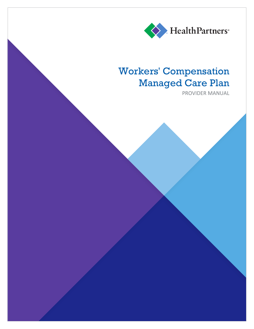

## **Workers' Compensation Managed Care Plan**

PROVIDER MANUAL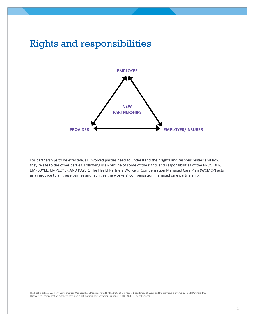

For partnerships to be effective, all involved parties need to understand their rights and responsibilities and how they relate to the other parties. Following is an outline of some of the rights and responsibilities of the PROVIDER, EMPLOYEE, EMPLOYER AND PAYER. The HealthPartners Workers' Compensation Managed Care Plan (WCMCP) acts as a resource to all these parties and facilities the workers' compensation managed care partnership.

The HealthPartners Workers' Compensation Managed Care Plan is certified by the State of Minnesota Department of Labor and Industry and is offered by HealthPartners, Inc. This workers' compensation managed care plan is not workers' compensation insurance. (8/16) ©2016 HealthPartners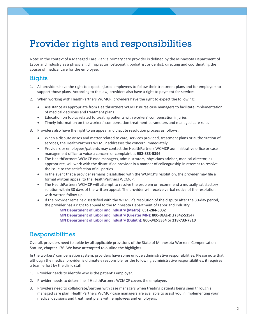## Provider rights and responsibilities

Note: In the context of a Managed Care Plan; a primary care provider is defined by the Minnesota Department of Labor and Industry as a physician, chiropractor, osteopath, podiatrist or dentist, directing and coordinating the course of medical care for the employee.

## Rights

- 1. All providers have the right to expect injured employees to follow their treatment plans and for employers to support those plans. According to the law, providers also have a right to payment for services.
- 2. When working with HealthPartners WCMCP, providers have the right to expect the following:
	- Assistance as appropriate from HealthPartners WCMCP nurse case managers to facilitate implementation of medical decisions and treatment plans
	- Education on topics related to treating patients with workers' compensation injuries
	- Timely information on the workers' compensation treatment parameters and managed care rules
- 3. Providers also have the right to an appeal and dispute resolution process as follows:
	- When a dispute arises and matter related to care, services provided, treatment plans or authorization of services, the HealthPartners WCMCP addresses the concern immediately.
	- Providers or employees/patients may contact the HealthPartners WCMCP administrative office or case management office to voice a concern or complaint at **952-883-5396**.
	- The HealthPartners WCMCP case managers, administrators, physicians advisor, medical director, as appropriate, will work with the dissatisfied provider in a manner of colleagueship in attempt to resolve the issue to the satisfaction of all parties.
	- In the event that a provider remains dissatisfied with the WCMCP's resolution, the provider may file a formal written appeal to the HealthPartners WCMCP.
	- The HealthPartners WCMCP will attempt to resolve the problem or recommend a mutually satisfactory solution within 30 days of the written appeal. The provider will receive verbal notice of the resolution with written follow-up.
	- If the provider remains dissatisfied with the WCMCP's resolution of the dispute after the 30-day period, the provider has a right to appeal to the Minnesota Department of Labor and Industry.

**MN Department of Labor and Industry (Metro): 651-284-5032 MN Department of Labor and Industry (Greater MN): 800-DIAL-DLI (342-5354) MN Department of Labor and Industry (Duluth): 800-342-5354** or **218-733-7810**

## Responsibilities

Overall, providers need to abide by all applicable provisions of the State of Minnesota Workers' Compensation Statute, chapter 176. We have attempted to outline the highlights.

In the workers' compensation system, providers have some unique administrative responsibilities. Please note that although the medical provider is ultimately responsible for the following administrative responsibilities, it requires a team effort by the clinic staff.

- 1. Provider needs to identify who is the patient's employer.
- 2. Provider needs to determine if HealthPartners WCMCP covers the employee.
- 3. Providers need to collaborate/partner with case managers when treating patients being seen through a managed care plan. HealthPartners WCMCP case managers are available to assist you in implementing your medical decisions and treatment plans with employees and employers.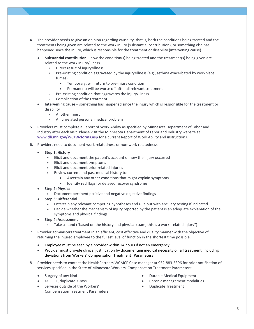- 4. The provider needs to give an opinion regarding causality, that is, both the conditions being treated and the treatments being given are related to the work injury (substantial contribution), or something else has happened since the injury, which is responsible for the treatment or disability (intervening cause).
	- **Substantial contribution** how the condition(s) being treated and the treatment(s) being given are related to the work injury/illness
		- » Direct result of injury/illness
		- » Pre-existing condition aggravated by the injury/illness (e.g., asthma exacerbated by workplace fumes)
			- Temporary: will return to pre-injury condition
			- Permanent: will be worse off after all relevant treatment
		- » Pre-existing condition that aggravates the injury/illness
		- » Complication of the treatment
	- **Intervening cause** something has happened since the injury which is responsible for the treatment or disability
		- » Another injury
		- » An unrelated personal medical problem
- 5. Providers must complete a Report of Work Ability as specified by Minnesota Department of Labor and Industry after each visit. Please visit the Minnesota Department of Labor and Industry website at **[www.dli.mn.gov/WC/Wcforms.asp](http://www.dli.mn.gov/WC/Wcforms.asp)** for a current Report of Work Ability and instructions.
- 6. Providers need to document work relatedness or non-work relatedness:
	- **Step 1: History**
		- » Elicit and document the patient's account of how the injury occurred
		- » Elicit and document symptoms
		- » Elicit and document prior related injuries
		- » Review current and past medical history to:
			- Ascertain any other conditions that might explain symptoms
			- Identify red flags for delayed recover syndrome
	- **Step 2: Physical**
		- » Document pertinent positive and negative objective findings
	- **Step 3: Differential**
		- » Entertain any relevant competing hypotheses and rule out with ancillary testing if indicated.
		- » Decide whether the mechanism of injury reported by the patient is an adequate explanation of the symptoms and physical findings.
	- **Step 4: Assessment** 
		- » Take a stand ("based on the history and physical exam, this is a work- related injury")
- 7. Provider administers treatment in an efficient, cost effective and quality manner with the objective of returning the injured employee to the fullest level of function in the shortest time possible.
	- Employee must be seen by a provider within 24 hours if not an emergency
	- Provider must provide clinical justification by documenting medical necessity of all treatment, including deviations from Workers' Compensation Treatment Parameters
- 8. Provider needs to contact the HealthPartners WCMCP Case manager at 952-883-5396 for prior notification of services specified in the State of Minnesota Workers' Compensation Treatment Parameters:
	- Surgery of any kind
	- MRI, CT, duplicate X-rays
	- Services outside of the Workers' Compensation Treatment Parameters
- Durable Medical Equipment
- Chronic management modalities
- Duplicate Treatment